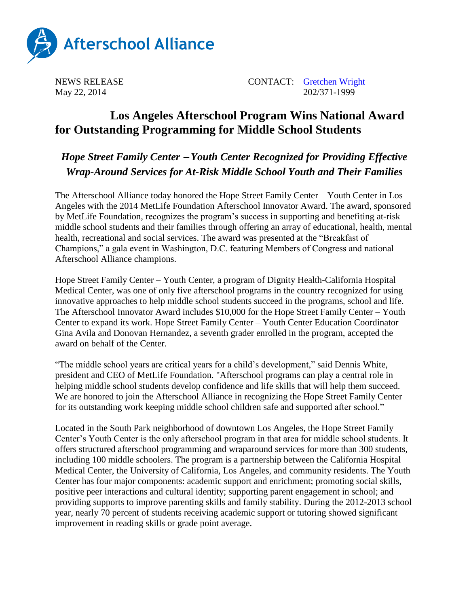

NEWS RELEASE CONTACT: [Gretchen Wright](mailto:gretchen@prsolutionsdc.com) May 22, 2014 202/371-1999

## **Los Angeles Afterschool Program Wins National Award for Outstanding Programming for Middle School Students**

## *Hope Street Family Center* – *Youth Center Recognized for Providing Effective Wrap-Around Services for At-Risk Middle School Youth and Their Families*

The Afterschool Alliance today honored the Hope Street Family Center – Youth Center in Los Angeles with the 2014 MetLife Foundation Afterschool Innovator Award. The award, sponsored by MetLife Foundation, recognizes the program's success in supporting and benefiting at-risk middle school students and their families through offering an array of educational, health, mental health, recreational and social services. The award was presented at the "Breakfast of Champions," a gala event in Washington, D.C. featuring Members of Congress and national Afterschool Alliance champions.

Hope Street Family Center – Youth Center, a program of Dignity Health-California Hospital Medical Center, was one of only five afterschool programs in the country recognized for using innovative approaches to help middle school students succeed in the programs, school and life. The Afterschool Innovator Award includes \$10,000 for the Hope Street Family Center – Youth Center to expand its work. Hope Street Family Center – Youth Center Education Coordinator Gina Avila and Donovan Hernandez, a seventh grader enrolled in the program, accepted the award on behalf of the Center.

"The middle school years are critical years for a child's development," said Dennis White, president and CEO of MetLife Foundation. "Afterschool programs can play a central role in helping middle school students develop confidence and life skills that will help them succeed. We are honored to join the Afterschool Alliance in recognizing the Hope Street Family Center for its outstanding work keeping middle school children safe and supported after school."

Located in the South Park neighborhood of downtown Los Angeles, the Hope Street Family Center's Youth Center is the only afterschool program in that area for middle school students. It offers structured afterschool programming and wraparound services for more than 300 students, including 100 middle schoolers. The program is a partnership between the California Hospital Medical Center, the University of California, Los Angeles, and community residents. The Youth Center has four major components: academic support and enrichment; promoting social skills, positive peer interactions and cultural identity; supporting parent engagement in school; and providing supports to improve parenting skills and family stability. During the 2012-2013 school year, nearly 70 percent of students receiving academic support or tutoring showed significant improvement in reading skills or grade point average.